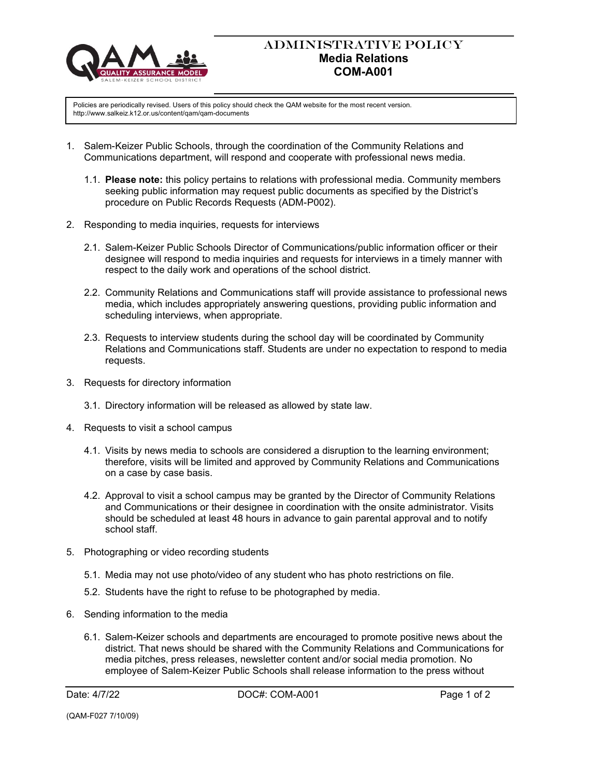

## ADMINISTRATIVE POLICY **Media Relations COM-A001**

Policies are periodically revised. Users of this policy should check the QAM website for the most recent version. http://www.salkeiz.k12.or.us/content/qam/qam-documents

- 1. Salem-Keizer Public Schools, through the coordination of the Community Relations and Communications department, will respond and cooperate with professional news media.
	- 1.1. **Please note:** this policy pertains to relations with professional media. Community members seeking public information may request public documents as specified by the District's procedure on Public Records Requests (ADM-P002).
- 2. Responding to media inquiries, requests for interviews
	- 2.1. Salem-Keizer Public Schools Director of Communications/public information officer or their designee will respond to media inquiries and requests for interviews in a timely manner with respect to the daily work and operations of the school district.
	- 2.2. Community Relations and Communications staff will provide assistance to professional news media, which includes appropriately answering questions, providing public information and scheduling interviews, when appropriate.
	- 2.3. Requests to interview students during the school day will be coordinated by Community Relations and Communications staff. Students are under no expectation to respond to media requests.
- 3. Requests for directory information
	- 3.1. Directory information will be released as allowed by state law.
- 4. Requests to visit a school campus
	- 4.1. Visits by news media to schools are considered a disruption to the learning environment; therefore, visits will be limited and approved by Community Relations and Communications on a case by case basis.
	- 4.2. Approval to visit a school campus may be granted by the Director of Community Relations and Communications or their designee in coordination with the onsite administrator. Visits should be scheduled at least 48 hours in advance to gain parental approval and to notify school staff.
- 5. Photographing or video recording students
	- 5.1. Media may not use photo/video of any student who has photo restrictions on file.
	- 5.2. Students have the right to refuse to be photographed by media.
- 6. Sending information to the media
	- 6.1. Salem-Keizer schools and departments are encouraged to promote positive news about the district. That news should be shared with the Community Relations and Communications for media pitches, press releases, newsletter content and/or social media promotion. No employee of Salem-Keizer Public Schools shall release information to the press without